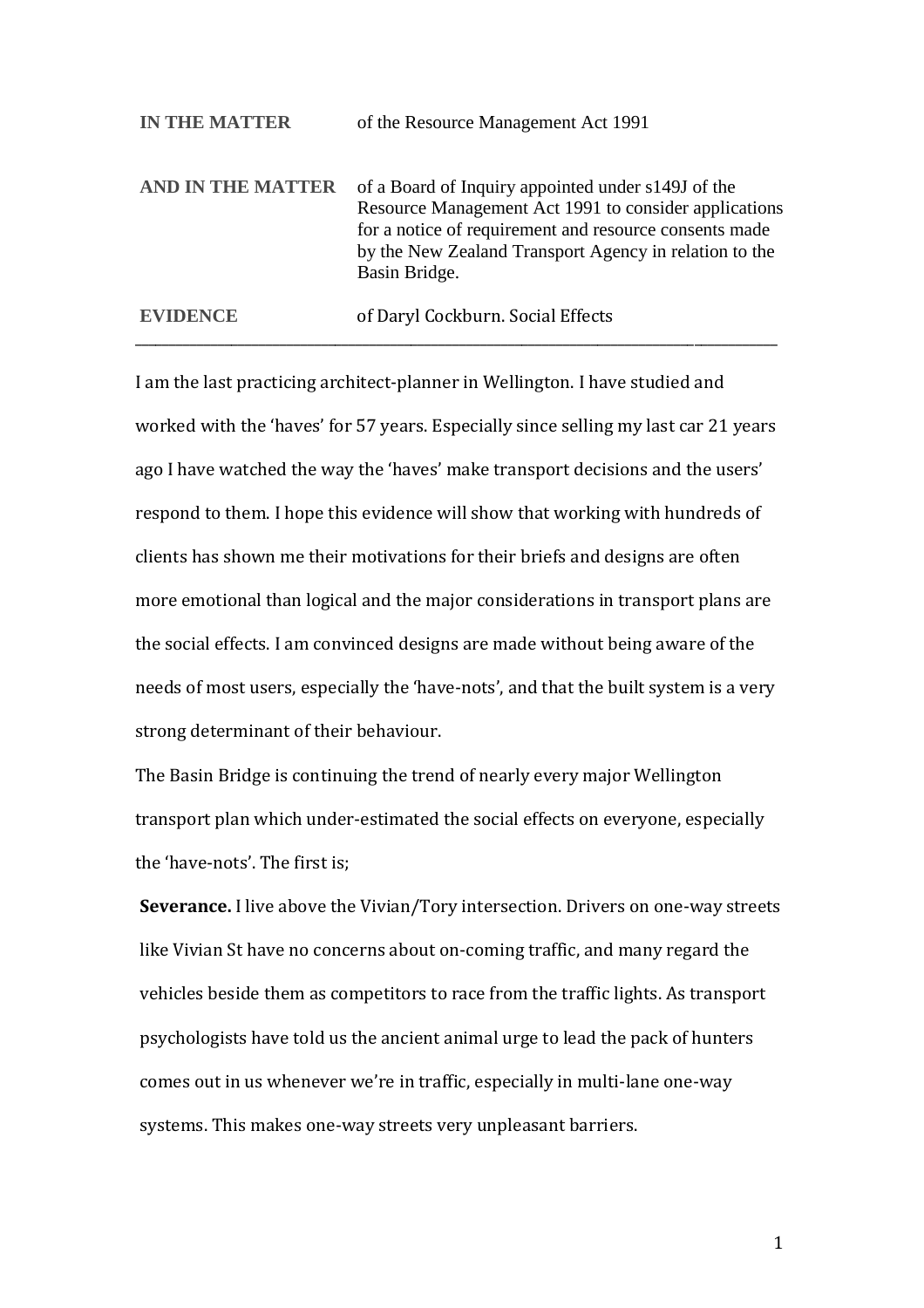| <b>IN THE MATTER</b> | of the Resource Management Act 1991                                                                                                                                                                                                              |
|----------------------|--------------------------------------------------------------------------------------------------------------------------------------------------------------------------------------------------------------------------------------------------|
| AND IN THE MATTER    | of a Board of Inquiry appointed under s149J of the<br>Resource Management Act 1991 to consider applications<br>for a notice of requirement and resource consents made<br>by the New Zealand Transport Agency in relation to the<br>Basin Bridge. |
| <b>EVIDENCE</b>      | of Daryl Cockburn. Social Effects                                                                                                                                                                                                                |

\_\_\_\_\_\_\_\_\_\_\_\_\_\_\_\_\_\_\_\_\_\_\_\_\_\_\_\_\_\_\_\_\_\_\_\_\_\_\_\_\_\_\_\_\_\_\_\_\_\_\_\_\_\_\_\_\_\_\_\_\_\_\_\_\_\_\_\_\_\_\_\_\_\_\_\_\_\_\_\_\_\_\_\_\_\_\_\_\_\_\_\_\_

I am the last practicing architect-planner in Wellington. I have studied and worked with the 'haves' for 57 years. Especially since selling my last car 21 years ago I have watched the way the 'haves' make transport decisions and the users' respond to them. I hope this evidence will show that working with hundreds of clients has shown me their motivations for their briefs and designs are often more emotional than logical and the major considerations in transport plans are the social effects. I am convinced designs are made without being aware of the needs of most users, especially the 'have-nots', and that the built system is a very strong determinant of their behaviour.

The Basin Bridge is continuing the trend of nearly every major Wellington transport plan which under-estimated the social effects on everyone, especially the 'have-nots'. The first is;

**Severance.** I live above the Vivian/Tory intersection. Drivers on one-way streets like Vivian St have no concerns about on-coming traffic, and many regard the vehicles beside them as competitors to race from the traffic lights. As transport psychologists have told us the ancient animal urge to lead the pack of hunters comes out in us whenever we're in traffic, especially in multi-lane one-way systems. This makes one-way streets very unpleasant barriers.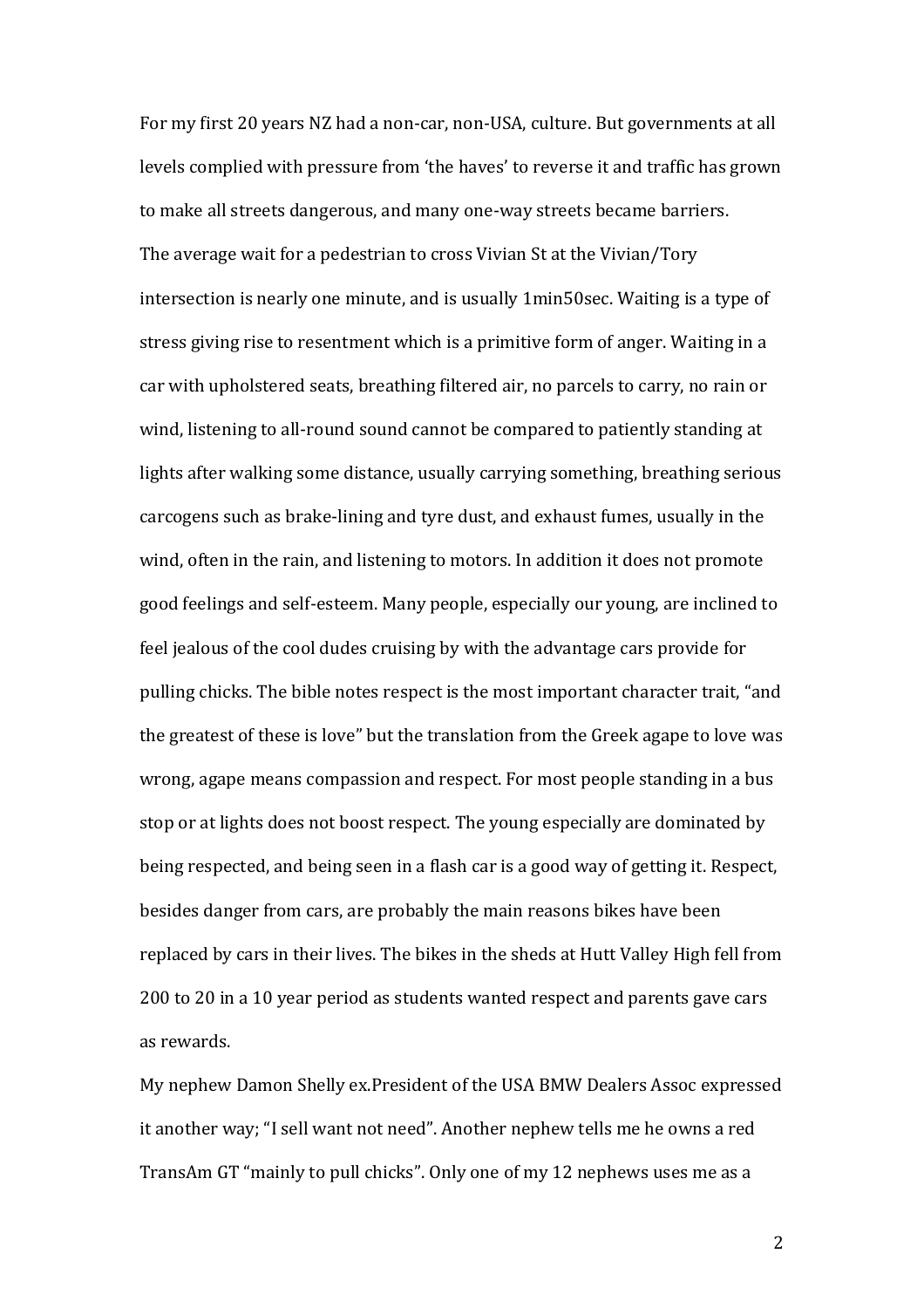For my first 20 years NZ had a non-car, non-USA, culture. But governments at all levels complied with pressure from 'the haves' to reverse it and traffic has grown to make all streets dangerous, and many one-way streets became barriers. The average wait for a pedestrian to cross Vivian St at the Vivian/Tory intersection is nearly one minute, and is usually 1min50sec. Waiting is a type of stress giving rise to resentment which is a primitive form of anger. Waiting in a car with upholstered seats, breathing filtered air, no parcels to carry, no rain or wind, listening to all-round sound cannot be compared to patiently standing at lights after walking some distance, usually carrying something, breathing serious carcogens such as brake-lining and tyre dust, and exhaust fumes, usually in the wind, often in the rain, and listening to motors. In addition it does not promote good feelings and self-esteem. Many people, especially our young, are inclined to feel jealous of the cool dudes cruising by with the advantage cars provide for pulling chicks. The bible notes respect is the most important character trait, "and the greatest of these is love" but the translation from the Greek agape to love was wrong, agape means compassion and respect. For most people standing in a bus stop or at lights does not boost respect. The young especially are dominated by being respected, and being seen in a flash car is a good way of getting it. Respect, besides danger from cars, are probably the main reasons bikes have been replaced by cars in their lives. The bikes in the sheds at Hutt Valley High fell from 200 to 20 in a 10 year period as students wanted respect and parents gave cars as rewards.

My nephew Damon Shelly ex.President of the USA BMW Dealers Assoc expressed it another way; "I sell want not need". Another nephew tells me he owns a red TransAm GT "mainly to pull chicks". Only one of my 12 nephews uses me as a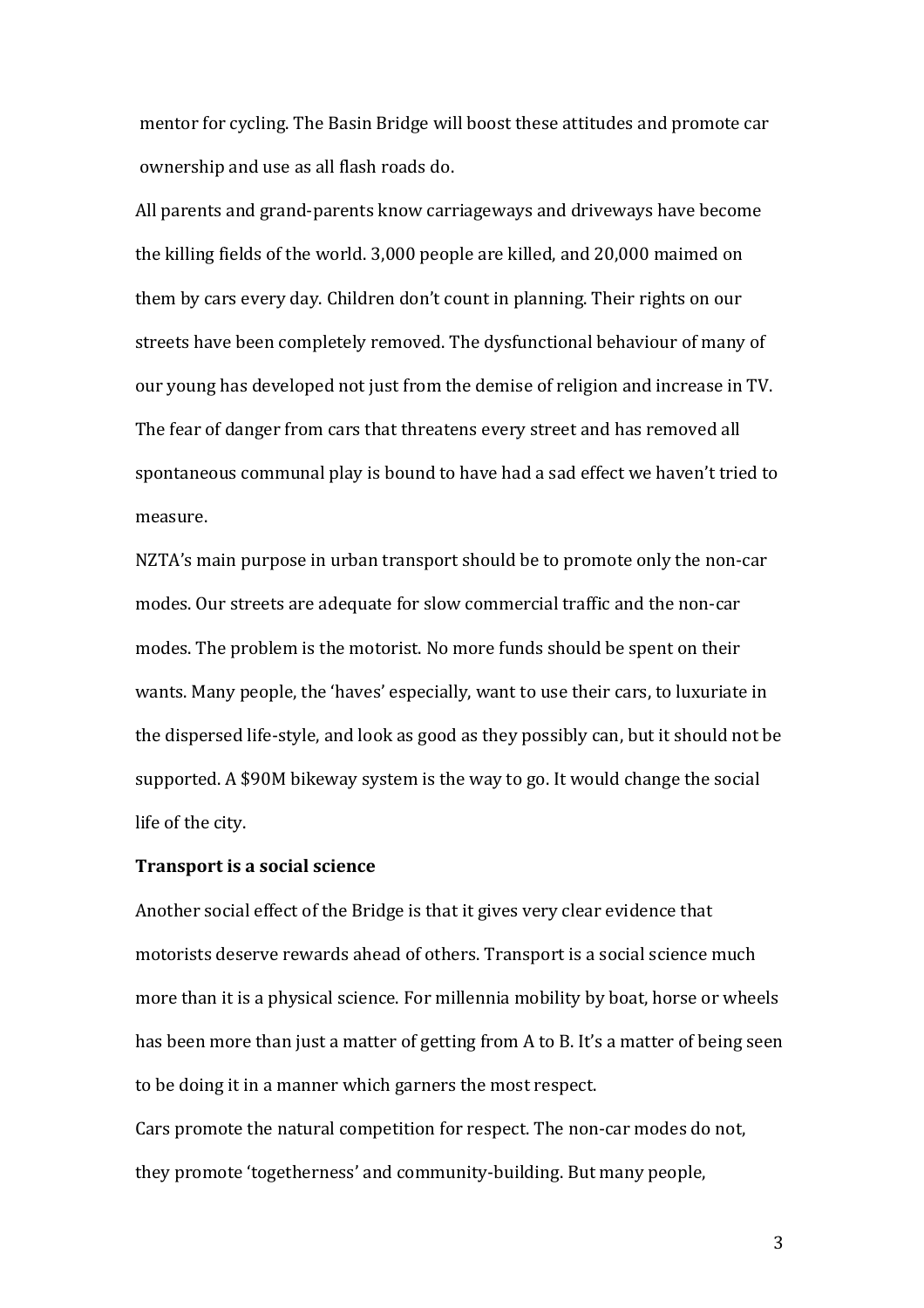mentor for cycling. The Basin Bridge will boost these attitudes and promote car ownership and use as all flash roads do.

All parents and grand-parents know carriageways and driveways have become the killing fields of the world. 3,000 people are killed, and 20,000 maimed on them by cars every day. Children don't count in planning. Their rights on our streets have been completely removed. The dysfunctional behaviour of many of our young has developed not just from the demise of religion and increase in TV. The fear of danger from cars that threatens every street and has removed all spontaneous communal play is bound to have had a sad effect we haven't tried to measure.

NZTA's main purpose in urban transport should be to promote only the non-car modes. Our streets are adequate for slow commercial traffic and the non-car modes. The problem is the motorist. No more funds should be spent on their wants. Many people, the 'haves' especially, want to use their cars, to luxuriate in the dispersed life-style, and look as good as they possibly can, but it should not be supported. A \$90M bikeway system is the way to go. It would change the social life of the city.

## **Transport is a social science**

Another social effect of the Bridge is that it gives very clear evidence that motorists deserve rewards ahead of others. Transport is a social science much more than it is a physical science. For millennia mobility by boat, horse or wheels has been more than just a matter of getting from A to B. It's a matter of being seen to be doing it in a manner which garners the most respect.

Cars promote the natural competition for respect. The non-car modes do not, they promote 'togetherness' and community-building. But many people,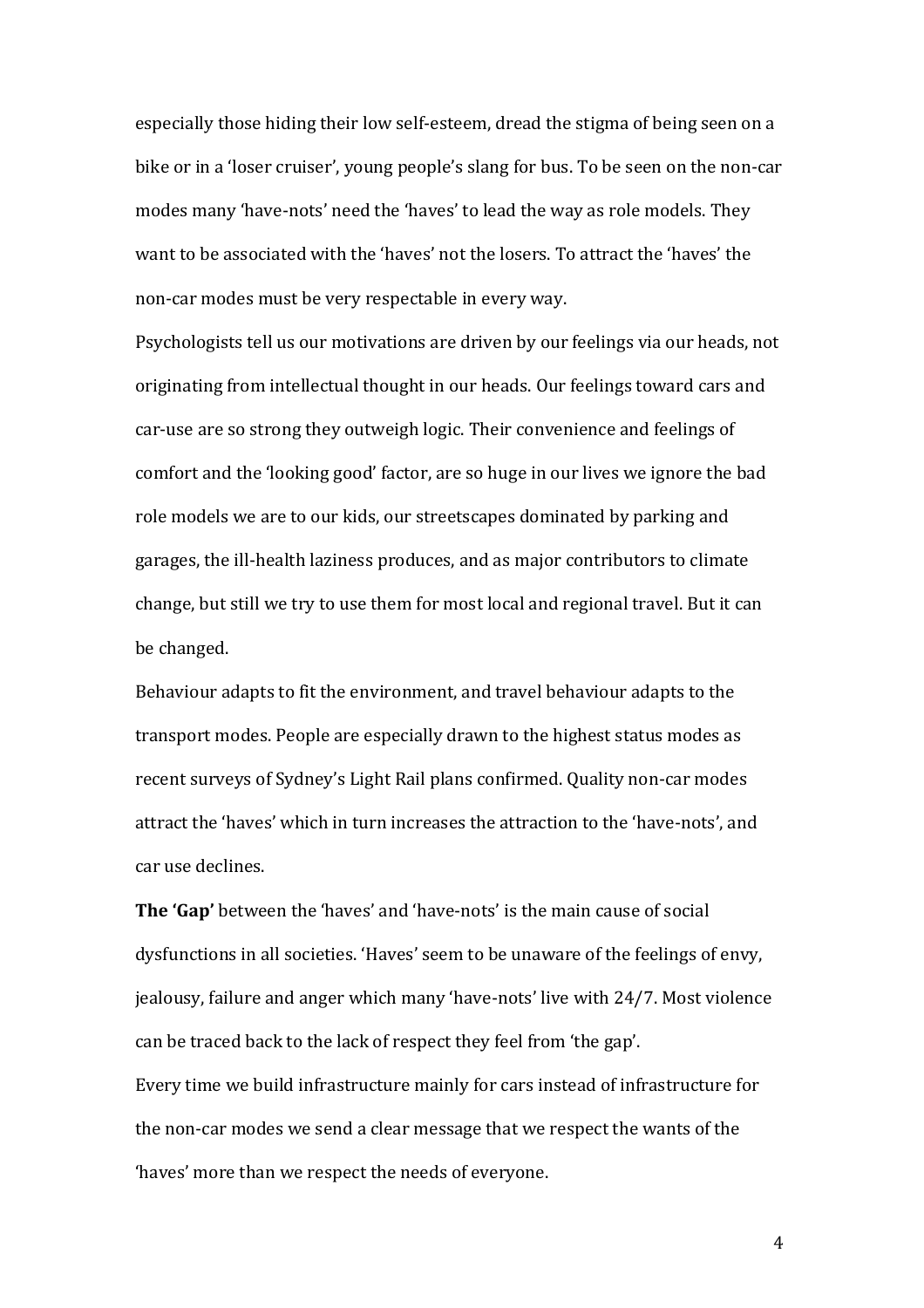especially those hiding their low self-esteem, dread the stigma of being seen on a bike or in a 'loser cruiser', young people's slang for bus. To be seen on the non-car modes many 'have-nots' need the 'haves' to lead the way as role models. They want to be associated with the 'haves' not the losers. To attract the 'haves' the non-car modes must be very respectable in every way.

Psychologists tell us our motivations are driven by our feelings via our heads, not originating from intellectual thought in our heads. Our feelings toward cars and car-use are so strong they outweigh logic. Their convenience and feelings of comfort and the 'looking good' factor, are so huge in our lives we ignore the bad role models we are to our kids, our streetscapes dominated by parking and garages, the ill-health laziness produces, and as major contributors to climate change, but still we try to use them for most local and regional travel. But it can be changed.

Behaviour adapts to fit the environment, and travel behaviour adapts to the transport modes. People are especially drawn to the highest status modes as recent surveys of Sydney's Light Rail plans confirmed. Quality non-car modes attract the 'haves' which in turn increases the attraction to the 'have-nots', and car use declines.

**The 'Gap'** between the 'haves' and 'have-nots' is the main cause of social dysfunctions in all societies. 'Haves' seem to be unaware of the feelings of envy, jealousy, failure and anger which many 'have-nots' live with 24/7. Most violence can be traced back to the lack of respect they feel from 'the gap'. Every time we build infrastructure mainly for cars instead of infrastructure for the non-car modes we send a clear message that we respect the wants of the 'haves' more than we respect the needs of everyone.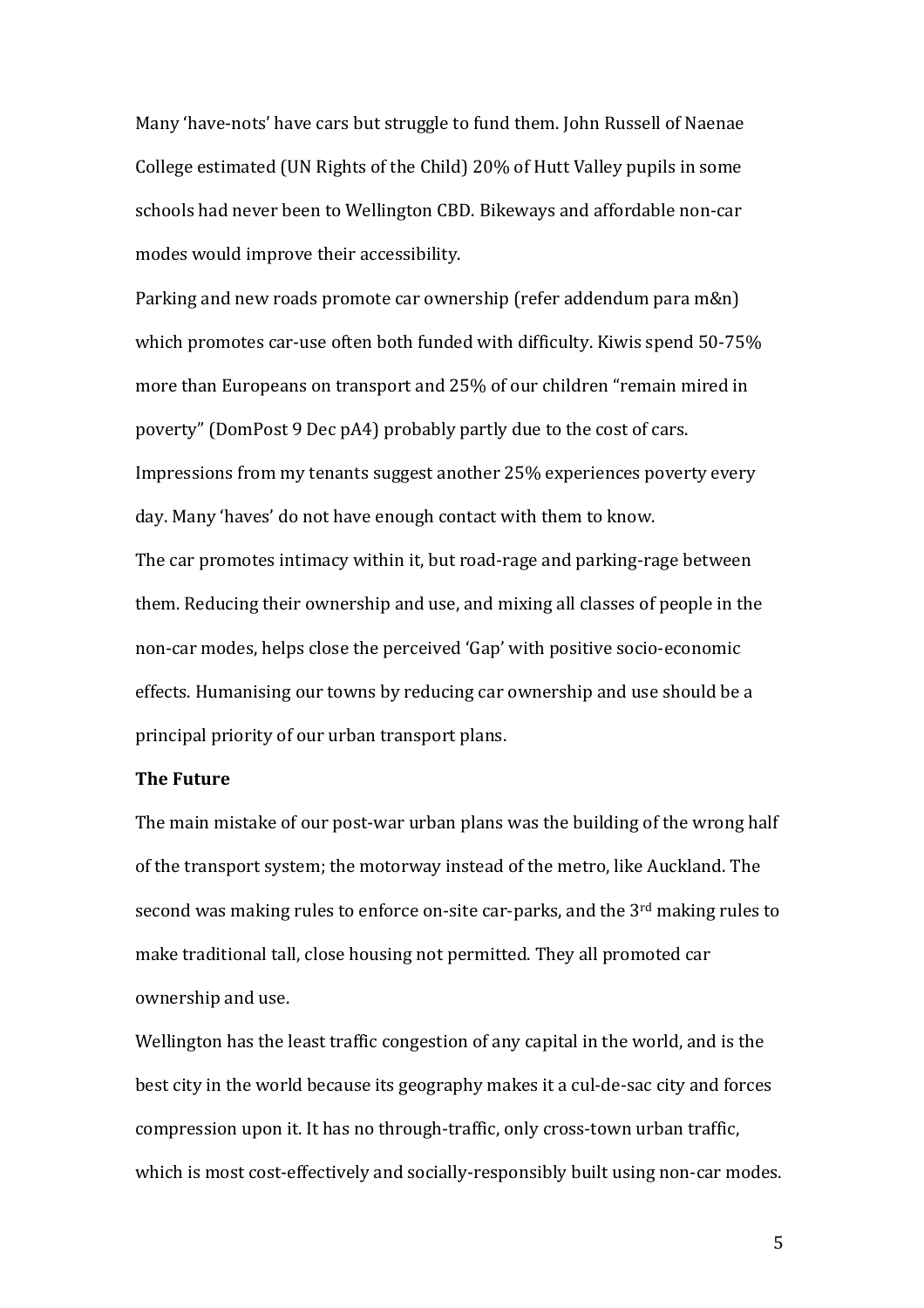Many 'have-nots' have cars but struggle to fund them. John Russell of Naenae College estimated (UN Rights of the Child) 20% of Hutt Valley pupils in some schools had never been to Wellington CBD. Bikeways and affordable non-car modes would improve their accessibility.

Parking and new roads promote car ownership (refer addendum para m&n) which promotes car-use often both funded with difficulty. Kiwis spend 50-75% more than Europeans on transport and 25% of our children "remain mired in poverty" (DomPost 9 Dec pA4) probably partly due to the cost of cars. Impressions from my tenants suggest another 25% experiences poverty every day. Many 'haves' do not have enough contact with them to know. The car promotes intimacy within it, but road-rage and parking-rage between them. Reducing their ownership and use, and mixing all classes of people in the non-car modes, helps close the perceived 'Gap' with positive socio-economic effects. Humanising our towns by reducing car ownership and use should be a principal priority of our urban transport plans.

## **The Future**

The main mistake of our post-war urban plans was the building of the wrong half of the transport system; the motorway instead of the metro, like Auckland. The second was making rules to enforce on-site car-parks, and the 3<sup>rd</sup> making rules to make traditional tall, close housing not permitted. They all promoted car ownership and use.

Wellington has the least traffic congestion of any capital in the world, and is the best city in the world because its geography makes it a cul-de-sac city and forces compression upon it. It has no through-traffic, only cross-town urban traffic, which is most cost-effectively and socially-responsibly built using non-car modes.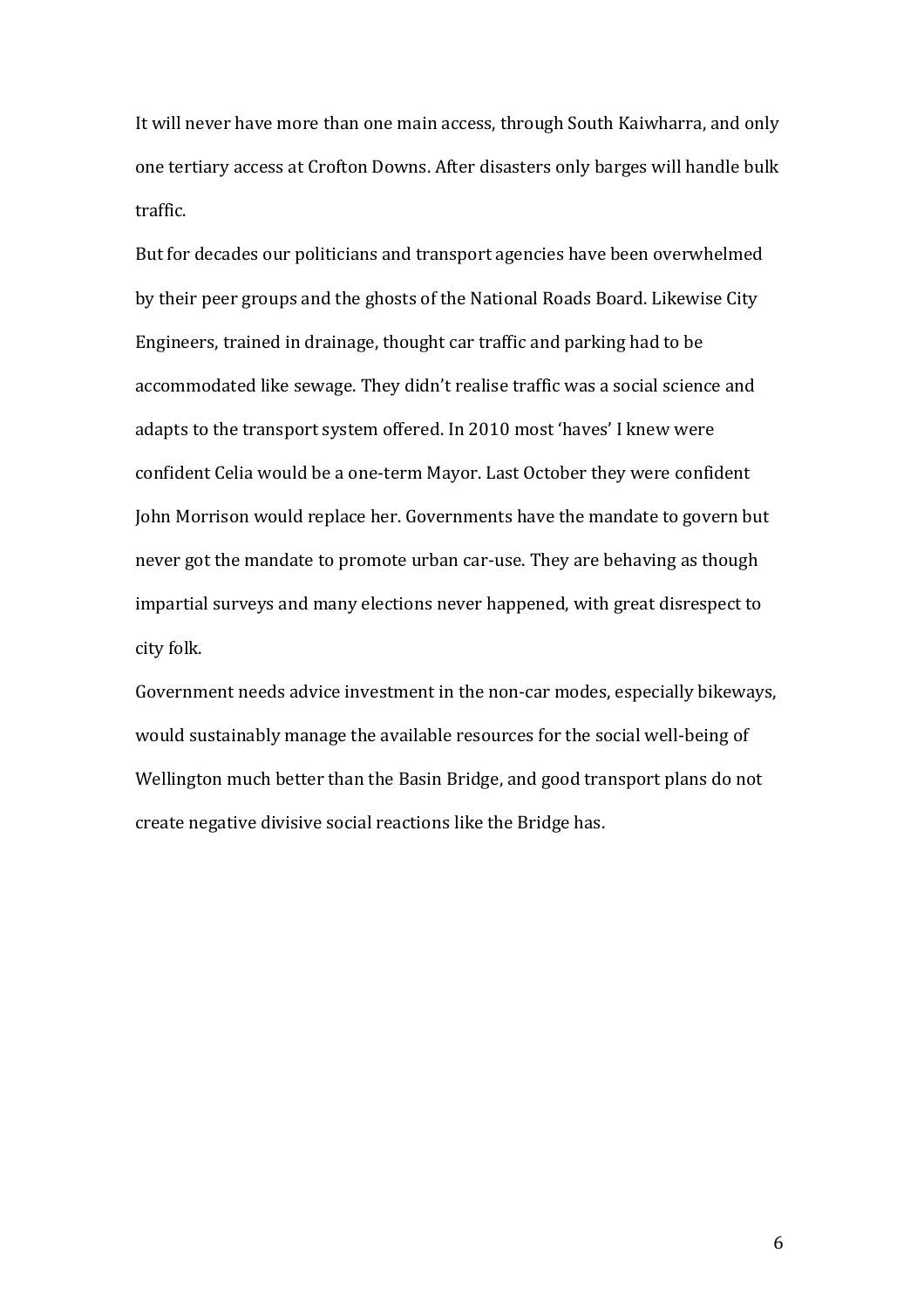It will never have more than one main access, through South Kaiwharra, and only one tertiary access at Crofton Downs. After disasters only barges will handle bulk traffic.

But for decades our politicians and transport agencies have been overwhelmed by their peer groups and the ghosts of the National Roads Board. Likewise City Engineers, trained in drainage, thought car traffic and parking had to be accommodated like sewage. They didn't realise traffic was a social science and adapts to the transport system offered. In 2010 most 'haves' I knew were confident Celia would be a one-term Mayor. Last October they were confident John Morrison would replace her. Governments have the mandate to govern but never got the mandate to promote urban car-use. They are behaving as though impartial surveys and many elections never happened, with great disrespect to city folk.

Government needs advice investment in the non-car modes, especially bikeways, would sustainably manage the available resources for the social well-being of Wellington much better than the Basin Bridge, and good transport plans do not create negative divisive social reactions like the Bridge has.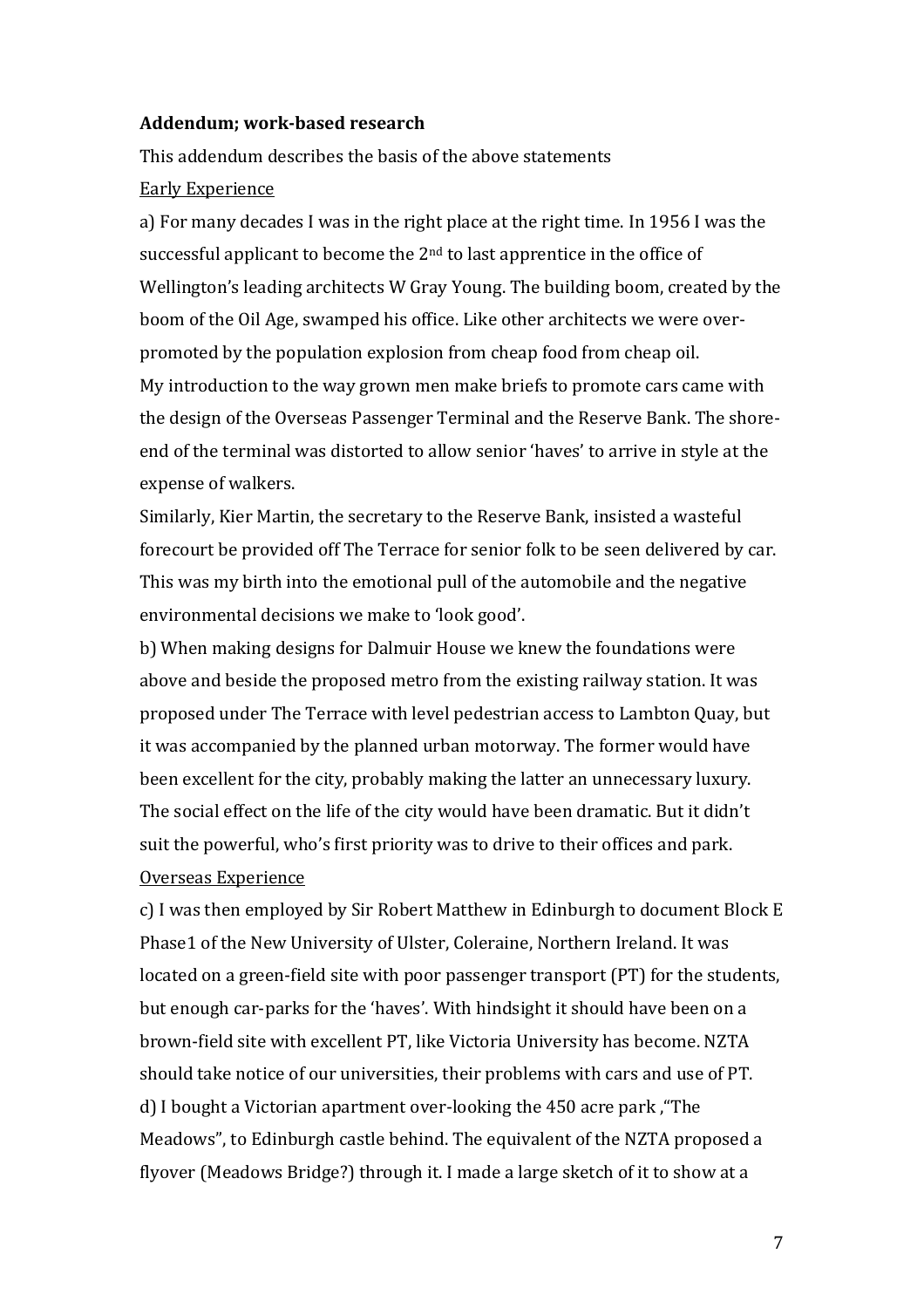## **Addendum; work-based research**

This addendum describes the basis of the above statements Early Experience

a) For many decades I was in the right place at the right time. In 1956 I was the successful applicant to become the 2<sup>nd</sup> to last apprentice in the office of Wellington's leading architects W Gray Young. The building boom, created by the boom of the Oil Age, swamped his office. Like other architects we were overpromoted by the population explosion from cheap food from cheap oil. My introduction to the way grown men make briefs to promote cars came with the design of the Overseas Passenger Terminal and the Reserve Bank. The shoreend of the terminal was distorted to allow senior 'haves' to arrive in style at the expense of walkers.

Similarly, Kier Martin, the secretary to the Reserve Bank, insisted a wasteful forecourt be provided off The Terrace for senior folk to be seen delivered by car. This was my birth into the emotional pull of the automobile and the negative environmental decisions we make to 'look good'.

b) When making designs for Dalmuir House we knew the foundations were above and beside the proposed metro from the existing railway station. It was proposed under The Terrace with level pedestrian access to Lambton Quay, but it was accompanied by the planned urban motorway. The former would have been excellent for the city, probably making the latter an unnecessary luxury. The social effect on the life of the city would have been dramatic. But it didn't suit the powerful, who's first priority was to drive to their offices and park. Overseas Experience

c) I was then employed by Sir Robert Matthew in Edinburgh to document Block E Phase1 of the New University of Ulster, Coleraine, Northern Ireland. It was located on a green-field site with poor passenger transport (PT) for the students, but enough car-parks for the 'haves'. With hindsight it should have been on a brown-field site with excellent PT, like Victoria University has become. NZTA should take notice of our universities, their problems with cars and use of PT. d) I bought a Victorian apartment over-looking the 450 acre park ,"The Meadows", to Edinburgh castle behind. The equivalent of the NZTA proposed a flyover (Meadows Bridge?) through it. I made a large sketch of it to show at a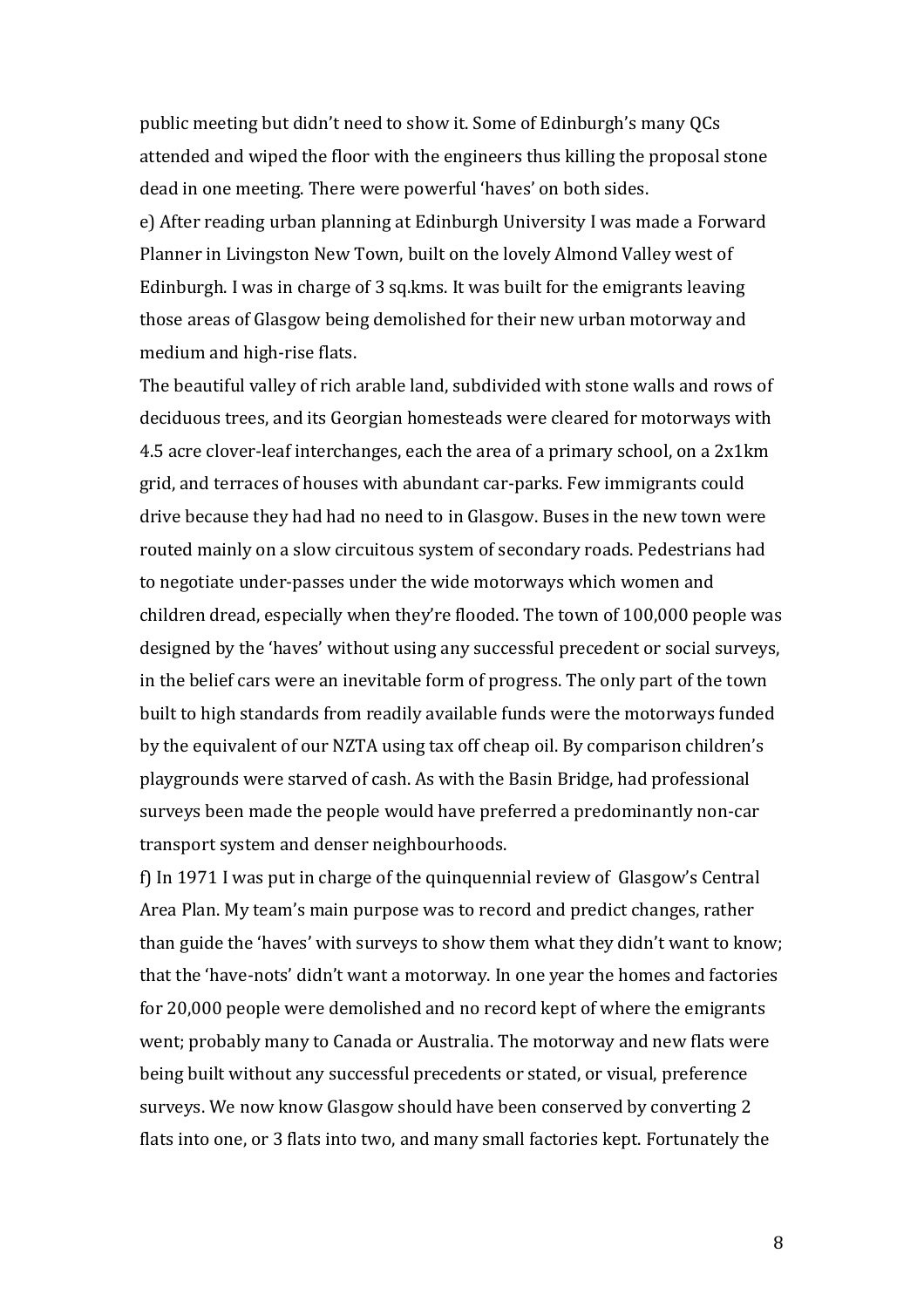public meeting but didn't need to show it. Some of Edinburgh's many QCs attended and wiped the floor with the engineers thus killing the proposal stone dead in one meeting. There were powerful 'haves' on both sides.

e) After reading urban planning at Edinburgh University I was made a Forward Planner in Livingston New Town, built on the lovely Almond Valley west of Edinburgh. I was in charge of 3 sq.kms. It was built for the emigrants leaving those areas of Glasgow being demolished for their new urban motorway and medium and high-rise flats.

The beautiful valley of rich arable land, subdivided with stone walls and rows of deciduous trees, and its Georgian homesteads were cleared for motorways with 4.5 acre clover-leaf interchanges, each the area of a primary school, on a 2x1km grid, and terraces of houses with abundant car-parks. Few immigrants could drive because they had had no need to in Glasgow. Buses in the new town were routed mainly on a slow circuitous system of secondary roads. Pedestrians had to negotiate under-passes under the wide motorways which women and children dread, especially when they're flooded. The town of 100,000 people was designed by the 'haves' without using any successful precedent or social surveys, in the belief cars were an inevitable form of progress. The only part of the town built to high standards from readily available funds were the motorways funded by the equivalent of our NZTA using tax off cheap oil. By comparison children's playgrounds were starved of cash. As with the Basin Bridge, had professional surveys been made the people would have preferred a predominantly non-car transport system and denser neighbourhoods.

f) In 1971 I was put in charge of the quinquennial review of Glasgow's Central Area Plan. My team's main purpose was to record and predict changes, rather than guide the 'haves' with surveys to show them what they didn't want to know; that the 'have-nots' didn't want a motorway. In one year the homes and factories for 20,000 people were demolished and no record kept of where the emigrants went; probably many to Canada or Australia. The motorway and new flats were being built without any successful precedents or stated, or visual, preference surveys. We now know Glasgow should have been conserved by converting 2 flats into one, or 3 flats into two, and many small factories kept. Fortunately the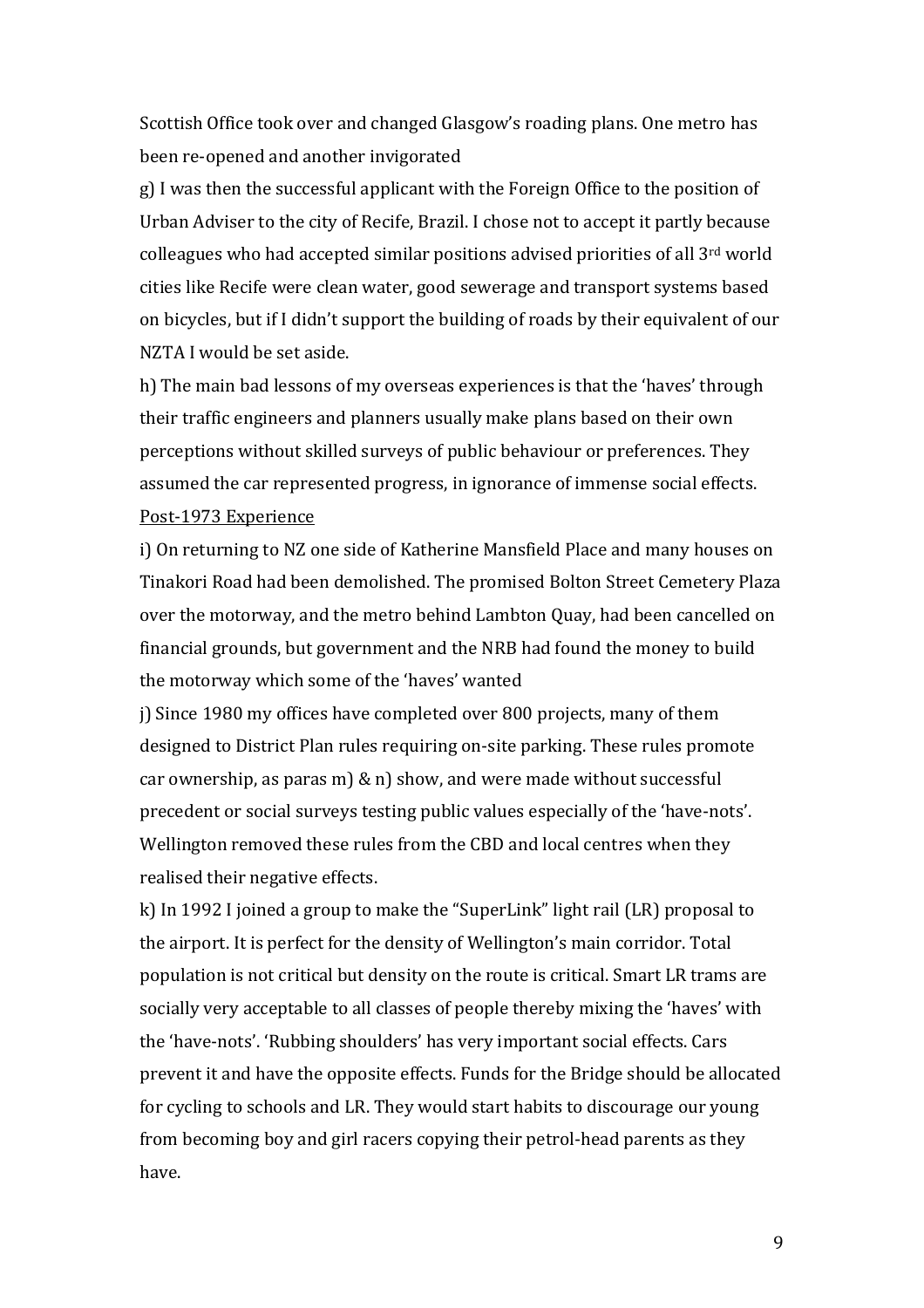Scottish Office took over and changed Glasgow's roading plans. One metro has been re-opened and another invigorated

g) I was then the successful applicant with the Foreign Office to the position of Urban Adviser to the city of Recife, Brazil. I chose not to accept it partly because colleagues who had accepted similar positions advised priorities of all 3rd world cities like Recife were clean water, good sewerage and transport systems based on bicycles, but if I didn't support the building of roads by their equivalent of our NZTA I would be set aside.

h) The main bad lessons of my overseas experiences is that the 'haves' through their traffic engineers and planners usually make plans based on their own perceptions without skilled surveys of public behaviour or preferences. They assumed the car represented progress, in ignorance of immense social effects. Post-1973 Experience

i) On returning to NZ one side of Katherine Mansfield Place and many houses on Tinakori Road had been demolished. The promised Bolton Street Cemetery Plaza over the motorway, and the metro behind Lambton Quay, had been cancelled on financial grounds, but government and the NRB had found the money to build the motorway which some of the 'haves' wanted

j) Since 1980 my offices have completed over 800 projects, many of them designed to District Plan rules requiring on-site parking. These rules promote car ownership, as paras m) & n) show, and were made without successful precedent or social surveys testing public values especially of the 'have-nots'. Wellington removed these rules from the CBD and local centres when they realised their negative effects.

k) In 1992 I joined a group to make the "SuperLink" light rail (LR) proposal to the airport. It is perfect for the density of Wellington's main corridor. Total population is not critical but density on the route is critical. Smart LR trams are socially very acceptable to all classes of people thereby mixing the 'haves' with the 'have-nots'. 'Rubbing shoulders' has very important social effects. Cars prevent it and have the opposite effects. Funds for the Bridge should be allocated for cycling to schools and LR. They would start habits to discourage our young from becoming boy and girl racers copying their petrol-head parents as they have.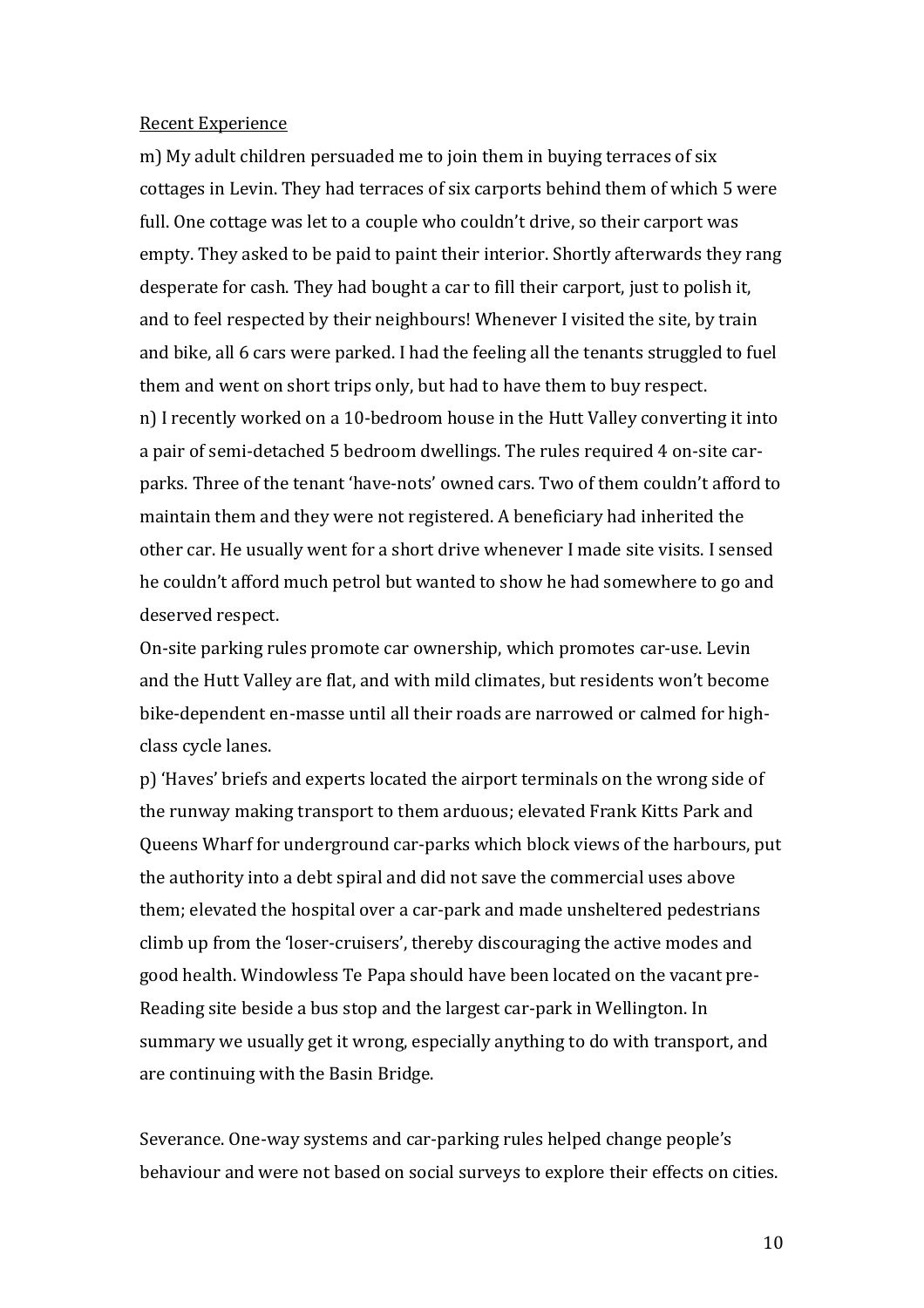## Recent Experience

m) My adult children persuaded me to join them in buying terraces of six cottages in Levin. They had terraces of six carports behind them of which 5 were full. One cottage was let to a couple who couldn't drive, so their carport was empty. They asked to be paid to paint their interior. Shortly afterwards they rang desperate for cash. They had bought a car to fill their carport, just to polish it, and to feel respected by their neighbours! Whenever I visited the site, by train and bike, all 6 cars were parked. I had the feeling all the tenants struggled to fuel them and went on short trips only, but had to have them to buy respect. n) I recently worked on a 10-bedroom house in the Hutt Valley converting it into a pair of semi-detached 5 bedroom dwellings. The rules required 4 on-site carparks. Three of the tenant 'have-nots' owned cars. Two of them couldn't afford to maintain them and they were not registered. A beneficiary had inherited the other car. He usually went for a short drive whenever I made site visits. I sensed he couldn't afford much petrol but wanted to show he had somewhere to go and deserved respect.

On-site parking rules promote car ownership, which promotes car-use. Levin and the Hutt Valley are flat, and with mild climates, but residents won't become bike-dependent en-masse until all their roads are narrowed or calmed for highclass cycle lanes.

p) 'Haves' briefs and experts located the airport terminals on the wrong side of the runway making transport to them arduous; elevated Frank Kitts Park and Queens Wharf for underground car-parks which block views of the harbours, put the authority into a debt spiral and did not save the commercial uses above them; elevated the hospital over a car-park and made unsheltered pedestrians climb up from the 'loser-cruisers', thereby discouraging the active modes and good health. Windowless Te Papa should have been located on the vacant pre-Reading site beside a bus stop and the largest car-park in Wellington. In summary we usually get it wrong, especially anything to do with transport, and are continuing with the Basin Bridge.

Severance. One-way systems and car-parking rules helped change people's behaviour and were not based on social surveys to explore their effects on cities.